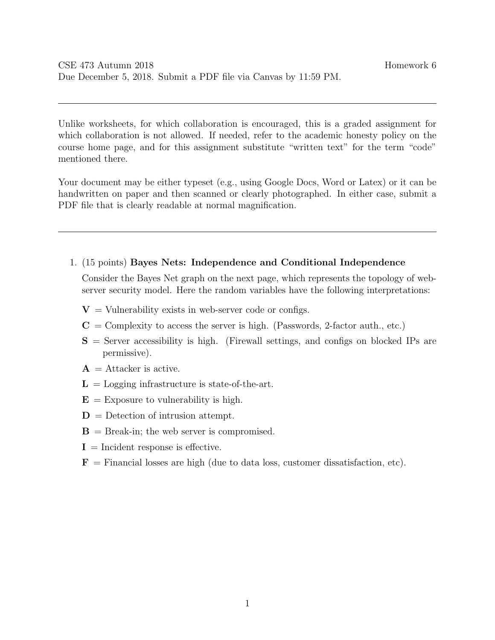Unlike worksheets, for which collaboration is encouraged, this is a graded assignment for which collaboration is not allowed. If needed, refer to the academic honesty policy on the course home page, and for this assignment substitute "written text" for the term "code" mentioned there.

Your document may be either typeset (e.g., using Google Docs, Word or Latex) or it can be handwritten on paper and then scanned or clearly photographed. In either case, submit a PDF file that is clearly readable at normal magnification.

1. (15 points) Bayes Nets: Independence and Conditional Independence

Consider the Bayes Net graph on the next page, which represents the topology of webserver security model. Here the random variables have the following interpretations:

- $V =$  Vulnerability exists in web-server code or configs.
- $C =$  Complexity to access the server is high. (Passwords, 2-factor auth., etc.)
- $S =$  Server accessibility is high. (Firewall settings, and configs on blocked IPs are permissive).
- $A =$ Attacker is active.
- $L =$  Logging infrastructure is state-of-the-art.
- $E =$  Exposure to vulnerability is high.
- $D =$  Detection of intrusion attempt.
- $\mathbf{B} = \text{Break-in};$  the web server is compromised.
- $I =$ Incident response is effective.
- **= Financial losses are high (due to data loss, customer dissatisfaction, etc).**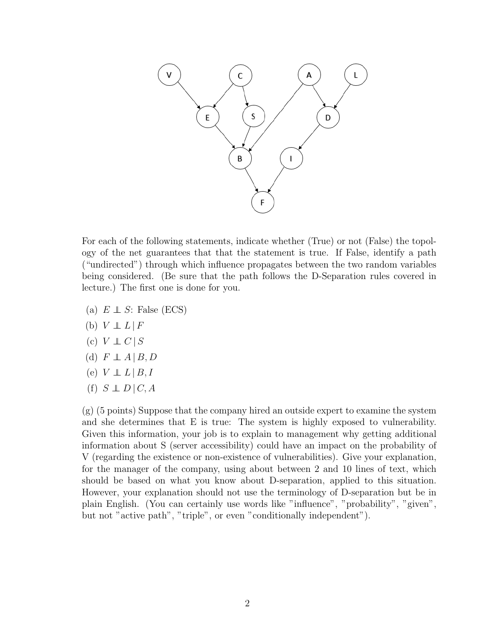

For each of the following statements, indicate whether (True) or not (False) the topology of the net guarantees that that the statement is true. If False, identify a path ("undirected") through which influence propagates between the two random variables being considered. (Be sure that the path follows the D-Separation rules covered in lecture.) The first one is done for you.

- (a)  $E \perp S$ : False (ECS)
- (b)  $V \perp L | F$
- $(c) V \perp C | S$
- (d)  $F \perp A \mid B, D$
- (e)  $V \perp\!\!\!\perp L | B, I$
- $(f)$   $S \perp\!\!\!\perp D \mid C, A$

(g) (5 points) Suppose that the company hired an outside expert to examine the system and she determines that E is true: The system is highly exposed to vulnerability. Given this information, your job is to explain to management why getting additional information about S (server accessibility) could have an impact on the probability of V (regarding the existence or non-existence of vulnerabilities). Give your explanation, for the manager of the company, using about between 2 and 10 lines of text, which should be based on what you know about D-separation, applied to this situation. However, your explanation should not use the terminology of D-separation but be in plain English. (You can certainly use words like "influence", "probability", "given", but not "active path", "triple", or even "conditionally independent").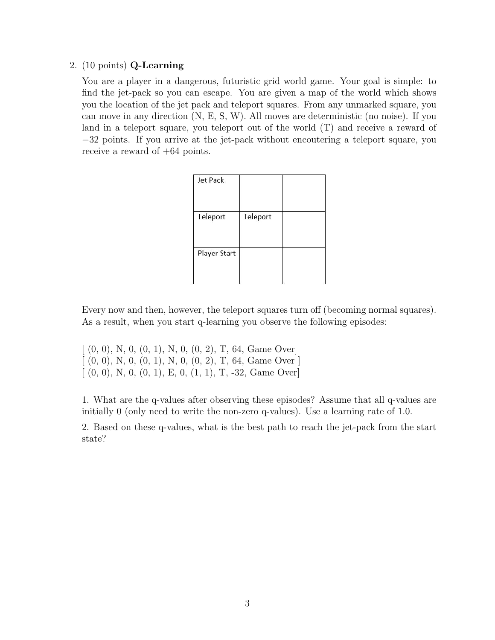## 2. (10 points) Q-Learning

You are a player in a dangerous, futuristic grid world game. Your goal is simple: to find the jet-pack so you can escape. You are given a map of the world which shows you the location of the jet pack and teleport squares. From any unmarked square, you can move in any direction (N, E, S, W). All moves are deterministic (no noise). If you land in a teleport square, you teleport out of the world (T) and receive a reward of −32 points. If you arrive at the jet-pack without encoutering a teleport square, you receive a reward of  $+64$  points.

| Teleport |  |
|----------|--|
|          |  |
|          |  |

Every now and then, however, the teleport squares turn off (becoming normal squares). As a result, when you start q-learning you observe the following episodes:

|  |  |  |  |  |  | $[ (0, 0), N, 0, (0, 1), N, 0, (0, 2), T, 64, Game Over ]$ |  |
|--|--|--|--|--|--|------------------------------------------------------------|--|
|  |  |  |  |  |  | $[ (0, 0), N, 0, (0, 1), N, 0, (0, 2), T, 64, Game Over ]$ |  |
|  |  |  |  |  |  | $[ (0, 0), N, 0, (0, 1), E, 0, (1, 1), T, -32, Game Over]$ |  |

1. What are the q-values after observing these episodes? Assume that all q-values are initially 0 (only need to write the non-zero q-values). Use a learning rate of 1.0.

2. Based on these q-values, what is the best path to reach the jet-pack from the start state?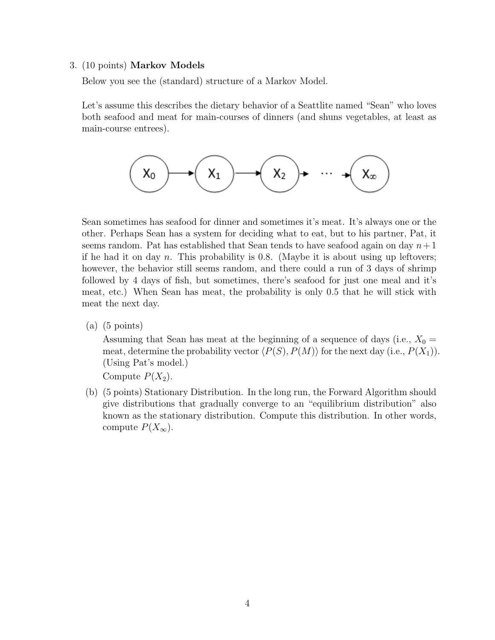#### 3. (10 points) Markov Models

Below you see the (standard) structure of a Markov Model.

Let's assume this describes the dietary behavior of a Seattlite named "Sean" who loves both seafood and meat for main-courses of dinners (and shuns vegetables, at least as main-course entrees).



Sean sometimes has seafood for dinner and sometimes it's meat. It's always one or the other. Perhaps Sean has a system for deciding what to eat, but to his partner, Pat, it seems random. Pat has established that Sean tends to have seafood again on day  $n+1$ if he had it on day n. This probability is  $0.8$ . (Maybe it is about using up leftovers; however, the behavior still seems random, and there could a run of 3 days of shrimp followed by 4 days of fish, but sometimes, there's seafood for just one meal and it's meat, etc.) When Sean has meat, the probability is only 0.5 that he will stick with meat the next day.

(a) (5 points)

Assuming that Sean has meat at the beginning of a sequence of days (i.e.,  $X_0 =$ meat, determine the probability vector  $\langle P(S), P(M) \rangle$  for the next day (i.e.,  $P(X_1)$ ). (Using Pat's model.)

Compute  $P(X_2)$ .

(b) (5 points) Stationary Distribution. In the long run, the Forward Algorithm should give distributions that gradually converge to an "equilibrium distribution" also known as the stationary distribution. Compute this distribution. In other words, compute  $P(X_\infty)$ .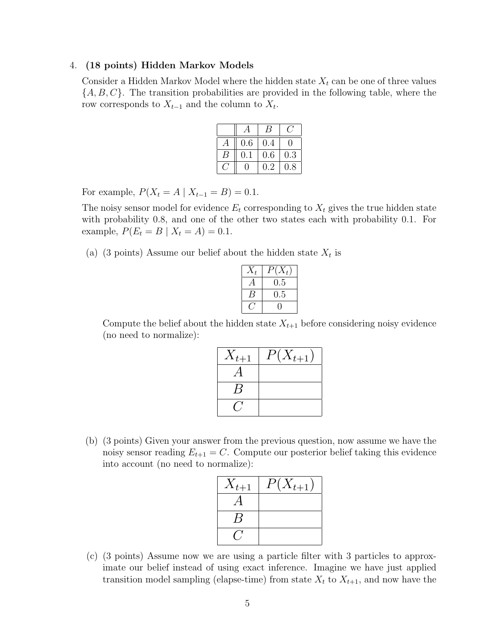#### 4. (18 points) Hidden Markov Models

Consider a Hidden Markov Model where the hidden state  $X_t$  can be one of three values  $\{A, B, C\}$ . The transition probabilities are provided in the following table, where the row corresponds to  $X_{t-1}$  and the column to  $X_t$ .

|   | 0.6   | 0.4 | ۱)      |
|---|-------|-----|---------|
| В | (0,1) | 0.6 | $0.3\,$ |
|   |       | 0.2 | 0.8     |

For example,  $P(X_t = A | X_{t-1} = B) = 0.1$ .

The noisy sensor model for evidence  $E_t$  corresponding to  $X_t$  gives the true hidden state with probability 0.8, and one of the other two states each with probability 0.1. For example,  $P(E_t = B \mid X_t = A) = 0.1$ .

(a) (3 points) Assume our belief about the hidden state  $X_t$  is

| $X_{t}$ | $\bar{X_t}$ |
|---------|-------------|
|         | 0.5         |
|         | $0.5\,$     |
|         |             |

Compute the belief about the hidden state  $X_{t+1}$  before considering noisy evidence (no need to normalize):

| $\scriptstyle{X_{t+1}}$ | $(X_{t+1})$ |
|-------------------------|-------------|
|                         |             |
|                         |             |
|                         |             |

(b) (3 points) Given your answer from the previous question, now assume we have the noisy sensor reading  $E_{t+1} = C$ . Compute our posterior belief taking this evidence into account (no need to normalize):

| $X_{t+1}$    | $(X_{t+1})$ |
|--------------|-------------|
| A            |             |
| $\mathsf{B}$ |             |
|              |             |

(c) (3 points) Assume now we are using a particle filter with 3 particles to approximate our belief instead of using exact inference. Imagine we have just applied transition model sampling (elapse-time) from state  $X_t$  to  $X_{t+1}$ , and now have the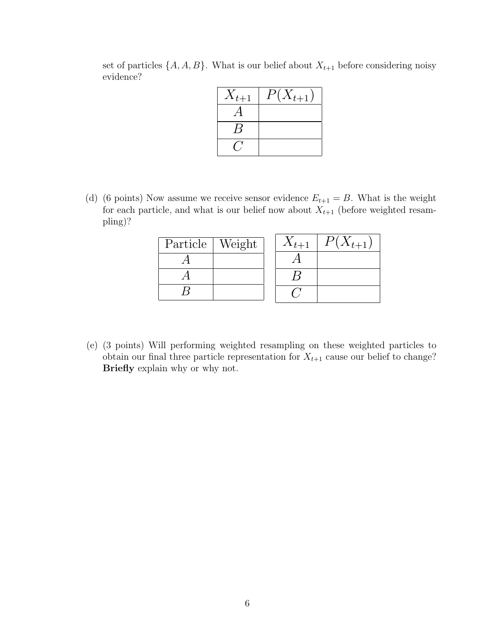| $X_{t+1}$ | $(X_{t+1})$ |
|-----------|-------------|
|           |             |
| В         |             |
|           |             |

set of particles  $\{A, A, B\}$ . What is our belief about  $X_{t+1}$  before considering noisy evidence?

(d) (6 points) Now assume we receive sensor evidence  $E_{t+1} = B$ . What is the weight for each particle, and what is our belief now about  $X_{t+1}$  (before weighted resampling)?

| $\overline{\text{Particle}}$   Weight |  | $\mathbf{v}_{t+1}$ |  |
|---------------------------------------|--|--------------------|--|
|                                       |  |                    |  |
|                                       |  |                    |  |
|                                       |  |                    |  |

(e) (3 points) Will performing weighted resampling on these weighted particles to obtain our final three particle representation for  $X_{t+1}$  cause our belief to change? Briefly explain why or why not.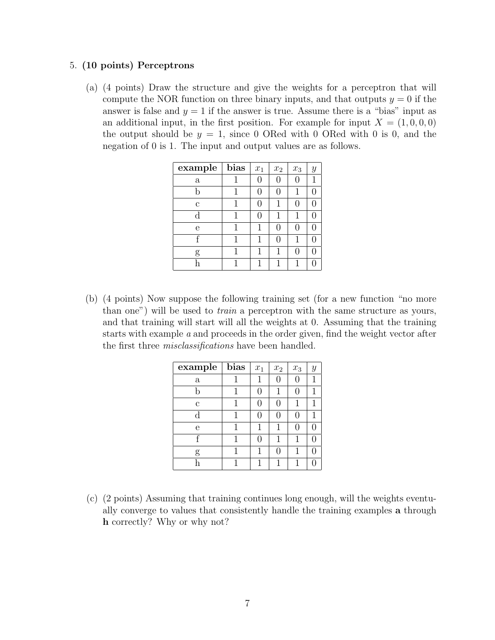### 5. (10 points) Perceptrons

(a) (4 points) Draw the structure and give the weights for a perceptron that will compute the NOR function on three binary inputs, and that outputs  $y = 0$  if the answer is false and  $y = 1$  if the answer is true. Assume there is a "bias" input as an additional input, in the first position. For example for input  $X = (1, 0, 0, 0)$ the output should be  $y = 1$ , since 0 ORed with 0 ORed with 0 is 0, and the negation of 0 is 1. The input and output values are as follows.

| example      | bias | $x_1$ | $\boldsymbol{x}_2$ | $\boldsymbol{x}_3$ | $\boldsymbol{y}$ |
|--------------|------|-------|--------------------|--------------------|------------------|
| $\mathbf{a}$ |      |       |                    |                    |                  |
| h            |      |       |                    | 1                  |                  |
| $\mathbf{c}$ |      |       |                    |                    |                  |
| $_{\rm d}$   |      |       |                    | 1                  |                  |
| e            |      |       |                    |                    |                  |
|              |      |       | $\left( \right)$   | 1                  |                  |
| g            |      |       |                    | 0                  |                  |
|              |      |       |                    |                    |                  |

(b) (4 points) Now suppose the following training set (for a new function "no more than one") will be used to train a perceptron with the same structure as yours, and that training will start will all the weights at 0. Assuming that the training starts with example a and proceeds in the order given, find the weight vector after the first three misclassifications have been handled.

| example      | bias | $\boldsymbol{x}_1$ | $\boldsymbol{x}_2$ | $\boldsymbol{x}_3$ | Y |
|--------------|------|--------------------|--------------------|--------------------|---|
| $\mathbf{a}$ |      | 1                  |                    |                    |   |
|              |      | $\left( \right)$   |                    |                    |   |
| $\mathbf c$  |      | 0                  |                    | 1                  |   |
| d            |      | 0                  |                    |                    |   |
| e            |      |                    |                    |                    |   |
| f            |      |                    |                    | 1                  |   |
| g            |      |                    |                    | 1                  |   |
|              |      | 1                  |                    |                    |   |

(c) (2 points) Assuming that training continues long enough, will the weights eventually converge to values that consistently handle the training examples a through h correctly? Why or why not?